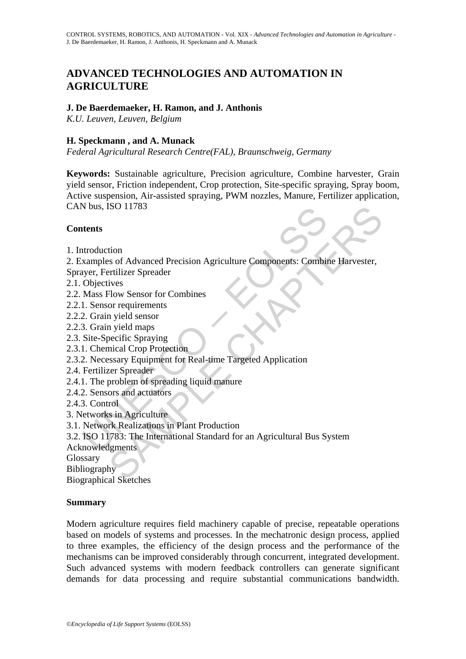# **ADVANCED TECHNOLOGIES AND AUTOMATION IN AGRICULTURE**

# **J. De Baerdemaeker, H. Ramon, and J. Anthonis**

*K.U. Leuven, Leuven, Belgium*

# **H. Speckmann , and A. Munack**

*Federal Agricultural Research Centre(FAL), Braunschweig, Germany* 

**Keywords:** Sustainable agriculture, Precision agriculture, Combine harvester, Grain yield sensor, Friction independent, Crop protection, Site-specific spraying, Spray boom, Active suspension, Air-assisted spraying, PWM nozzles, Manure, Fertilizer application, CAN bus, ISO 11783

## **Contents**

1. Introduction

Nous, ISO 11783<br>
Ments<br>
atents<br>
atents<br>
atents<br>
atents<br>
atents<br>
complexices<br>
Only city: Fertilizer Spreader<br>
Mass Flow Sensor for Combines<br>
I. Sensor requirements<br>
2. Grain yield sensor<br>
3. Grain yield sensor<br>
3. Grain yie ISO 11783<br>
tion<br>
ss of Advanced Precision Agriculture Components: Combine Harvester,<br>
retilizer Spreader<br>
ives<br>
retilizer Spreader<br>
ives<br>
nicel densor<br>
in yield sensor<br>
in yield sensor<br>
in yield sensor<br>
in yield maps<br>
seci 2. Examples of Advanced Precision Agriculture Components: Combine Harvester,

- Sprayer, Fertilizer Spreader
- 2.1. Objectives
- 2.2. Mass Flow Sensor for Combines
- 2.2.1. Sensor requirements
- 2.2.2. Grain yield sensor
- 2.2.3. Grain yield maps
- 2.3. Site-Specific Spraying
- 2.3.1. Chemical Crop Protection
- 2.3.2. Necessary Equipment for Real-time Targeted Application
- 2.4. Fertilizer Spreader
- 2.4.1. The problem of spreading liquid manure
- 2.4.2. Sensors and actuators
- 2.4.3. Control
- 3. Networks in Agriculture
- 3.1. Network Realizations in Plant Production
- 3.2. ISO 11783: The International Standard for an Agricultural Bus System
- Acknowledgments

Glossary

Bibliography

Biographical Sketches

## **Summary**

Modern agriculture requires field machinery capable of precise, repeatable operations based on models of systems and processes. In the mechatronic design process, applied to three examples, the efficiency of the design process and the performance of the mechanisms can be improved considerably through concurrent, integrated development. Such advanced systems with modern feedback controllers can generate significant demands for data processing and require substantial communications bandwidth.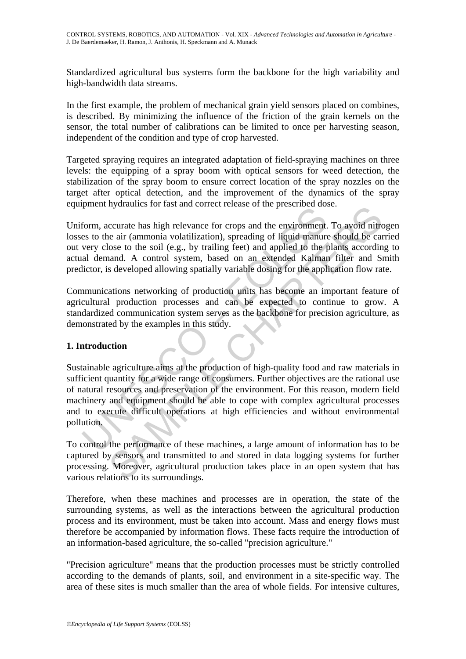Standardized agricultural bus systems form the backbone for the high variability and high-bandwidth data streams.

In the first example, the problem of mechanical grain yield sensors placed on combines, is described. By minimizing the influence of the friction of the grain kernels on the sensor, the total number of calibrations can be limited to once per harvesting season, independent of the condition and type of crop harvested.

Targeted spraying requires an integrated adaptation of field-spraying machines on three levels: the equipping of a spray boom with optical sensors for weed detection, the stabilization of the spray boom to ensure correct location of the spray nozzles on the target after optical detection, and the improvement of the dynamics of the spray equipment hydraulics for fast and correct release of the prescribed dose.

Uniform, accurate has high relevance for crops and the environment. To avoid nitrogen losses to the air (ammonia volatilization), spreading of liquid manure should be carried out very close to the soil (e.g., by trailing feet) and applied to the plants according to actual demand. A control system, based on an extended Kalman filter and Smith predictor, is developed allowing spatially variable dosing for the application flow rate.

Communications networking of production units has become an important feature of agricultural production processes and can be expected to continue to grow. A standardized communication system serves as the backbone for precision agriculture, as demonstrated by the examples in this study.

# **1. Introduction**

From a statement is also the statement of relationships and the environment.<br>
Set to the air (ammonia volatilization), spreading of liquid manure<br>
very close to the soil (e.g., by trailing feet) and applied to the p<br>
al de myanames for last and corrice release of the presention uses.<br>
ccurate has high relevance for crops and the environment. To avoid nitre<br>
ear it (ammonia volatilization), spreading of liquid manure should be can<br>
lose to th Sustainable agriculture aims at the production of high-quality food and raw materials in sufficient quantity for a wide range of consumers. Further objectives are the rational use of natural resources and preservation of the environment. For this reason, modern field machinery and equipment should be able to cope with complex agricultural processes and to execute difficult operations at high efficiencies and without environmental pollution.

To control the performance of these machines, a large amount of information has to be captured by sensors and transmitted to and stored in data logging systems for further processing. Moreover, agricultural production takes place in an open system that has various relations to its surroundings.

Therefore, when these machines and processes are in operation, the state of the surrounding systems, as well as the interactions between the agricultural production process and its environment, must be taken into account. Mass and energy flows must therefore be accompanied by information flows. These facts require the introduction of an information-based agriculture, the so-called "precision agriculture."

"Precision agriculture" means that the production processes must be strictly controlled according to the demands of plants, soil, and environment in a site-specific way. The area of these sites is much smaller than the area of whole fields. For intensive cultures,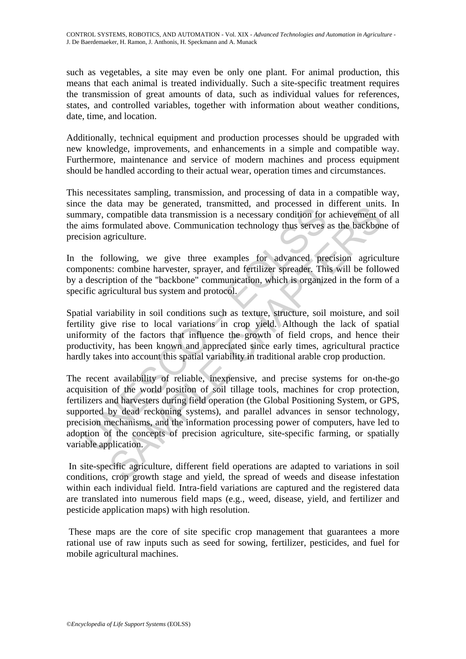such as vegetables, a site may even be only one plant. For animal production, this means that each animal is treated individually. Such a site-specific treatment requires the transmission of great amounts of data, such as individual values for references, states, and controlled variables, together with information about weather conditions, date, time, and location.

Additionally, technical equipment and production processes should be upgraded with new knowledge, improvements, and enhancements in a simple and compatible way. Furthermore, maintenance and service of modern machines and process equipment should be handled according to their actual wear, operation times and circumstances.

This necessitates sampling, transmission, and processing of data in a compatible way, since the data may be generated, transmitted, and processed in different units. In summary, compatible data transmission is a necessary condition for achievement of all the aims formulated above. Communication technology thus serves as the backbone of precision agriculture.

In the following, we give three examples for advanced precision agriculture components: combine harvester, sprayer, and fertilizer spreader. This will be followed by a description of the "backbone" communication, which is organized in the form of a specific agricultural bus system and protocol.

Spatial variability in soil conditions such as texture, structure, soil moisture, and soil fertility give rise to local variations in crop yield. Although the lack of spatial uniformity of the factors that influence the growth of field crops, and hence their productivity, has been known and appreciated since early times, agricultural practice hardly takes into account this spatial variability in traditional arable crop production.

e the data transmission is a necessary condition for<br>mary, compatible data transmission is a necessary condition for<br>aims formulated above. Communication technology thus serves a<br>sision agriculture.<br>the following, we give and may be generated, vanishinced, and processed in univertit universal<br>compatible data transmission is a necessary condition for achievement o<br>primulated above. Communication technology thus serves as the backbon<br>gricultu The recent availability of reliable, inexpensive, and precise systems for on-the-go acquisition of the world position of soil tillage tools, machines for crop protection, fertilizers and harvesters during field operation (the Global Positioning System, or GPS, supported by dead reckoning systems), and parallel advances in sensor technology, precision mechanisms, and the information processing power of computers, have led to adoption of the concepts of precision agriculture, site-specific farming, or spatially variable application.

 In site-specific agriculture, different field operations are adapted to variations in soil conditions, crop growth stage and yield, the spread of weeds and disease infestation within each individual field. Intra-field variations are captured and the registered data are translated into numerous field maps (e.g., weed, disease, yield, and fertilizer and pesticide application maps) with high resolution.

 These maps are the core of site specific crop management that guarantees a more rational use of raw inputs such as seed for sowing, fertilizer, pesticides, and fuel for mobile agricultural machines.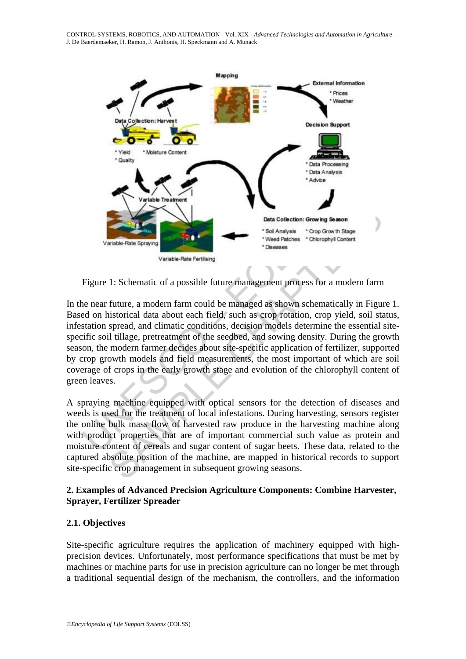CONTROL SYSTEMS, ROBOTICS, AND AUTOMATION - Vol. XIX - *Advanced Technologies and Automation in Agriculture* - J. De Baerdemaeker, H. Ramon, J. Anthonis, H. Speckmann and A. Munack



Figure 1: Schematic of a possible future management process for a modern farm

Duta Collection: Growing<br>
Variable-Rate Spraying<br>
Variable-Rate Spraying<br>
Variable-Rate Spraying<br>
Variable-Rate Spraying<br>
Units Collection: Growing<br>
Units of a possible future management process for<br>
the most of a possible SAMPLE THE CONSULTED THE CONSULTED TRANSFERING THE CONSULTED TRANSFERING THE CONSULTED TRANSFERING TO THE CONSULTED TRANSFERING TO THE CONSULTED TRANSFERING TO THE CONSULTED TRANSFERING THE CONSULTED IN SURFACT CONSULTED I In the near future, a modern farm could be managed as shown schematically in Figure 1. Based on historical data about each field, such as crop rotation, crop yield, soil status, infestation spread, and climatic conditions, decision models determine the essential sitespecific soil tillage, pretreatment of the seedbed, and sowing density. During the growth season, the modern farmer decides about site-specific application of fertilizer, supported by crop growth models and field measurements, the most important of which are soil coverage of crops in the early growth stage and evolution of the chlorophyll content of green leaves.

A spraying machine equipped with optical sensors for the detection of diseases and weeds is used for the treatment of local infestations. During harvesting, sensors register the online bulk mass flow of harvested raw produce in the harvesting machine along with product properties that are of important commercial such value as protein and moisture content of cereals and sugar content of sugar beets. These data, related to the captured absolute position of the machine, are mapped in historical records to support site-specific crop management in subsequent growing seasons.

## **2. Examples of Advanced Precision Agriculture Components: Combine Harvester, Sprayer, Fertilizer Spreader**

## **2.1. Objectives**

Site-specific agriculture requires the application of machinery equipped with highprecision devices. Unfortunately, most performance specifications that must be met by machines or machine parts for use in precision agriculture can no longer be met through a traditional sequential design of the mechanism, the controllers, and the information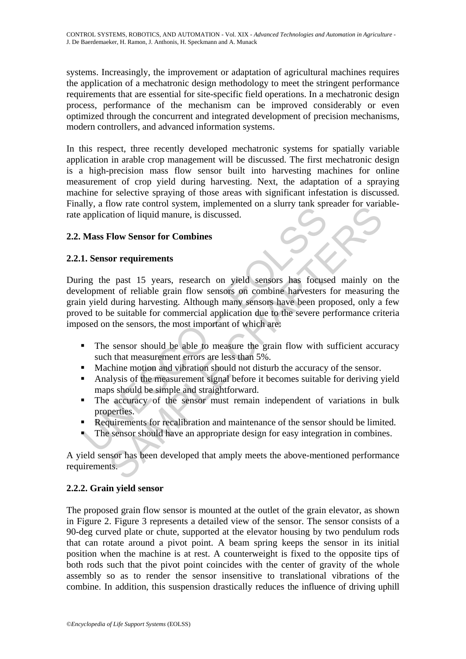systems. Increasingly, the improvement or adaptation of agricultural machines requires the application of a mechatronic design methodology to meet the stringent performance requirements that are essential for site-specific field operations. In a mechatronic design process, performance of the mechanism can be improved considerably or even optimized through the concurrent and integrated development of precision mechanisms, modern controllers, and advanced information systems.

In this respect, three recently developed mechatronic systems for spatially variable application in arable crop management will be discussed. The first mechatronic design is a high-precision mass flow sensor built into harvesting machines for online measurement of crop yield during harvesting. Next, the adaptation of a spraying machine for selective spraying of those areas with significant infestation is discussed. Finally, a flow rate control system, implemented on a slurry tank spreader for variablerate application of liquid manure, is discussed.

# **2.2. Mass Flow Sensor for Combines**

# **2.2.1. Sensor requirements**

Mass Flow Sensor for Combines<br>
application of liquid manure, is discussed.<br>
Mass Flow Sensor for Combines<br>
1. Sensor requirements<br>
ing the past 15 years, research on yield sensors has focuse<br>
elopment of reliable grain flo The control system, impediated on a starty tank spectra for variation of liquid manure, is discussed.<br> **Elow Sensor for Combines**<br>
or requirements<br>
e past 15 years, research on yield sensors has focused mainly on<br>
during h During the past 15 years, research on yield sensors has focused mainly on the development of reliable grain flow sensors on combine harvesters for measuring the grain yield during harvesting. Although many sensors have been proposed, only a few proved to be suitable for commercial application due to the severe performance criteria imposed on the sensors, the most important of which are:

- The sensor should be able to measure the grain flow with sufficient accuracy such that measurement errors are less than 5%.
- Machine motion and vibration should not disturb the accuracy of the sensor.
- Analysis of the measurement signal before it becomes suitable for deriving yield maps should be simple and straightforward.
- The accuracy of the sensor must remain independent of variations in bulk properties.
- Requirements for recalibration and maintenance of the sensor should be limited.
- The sensor should have an appropriate design for easy integration in combines.

A yield sensor has been developed that amply meets the above-mentioned performance requirements.

## **2.2.2. Grain yield sensor**

The proposed grain flow sensor is mounted at the outlet of the grain elevator, as shown in Figure 2. Figure 3 represents a detailed view of the sensor. The sensor consists of a 90-deg curved plate or chute, supported at the elevator housing by two pendulum rods that can rotate around a pivot point. A beam spring keeps the sensor in its initial position when the machine is at rest. A counterweight is fixed to the opposite tips of both rods such that the pivot point coincides with the center of gravity of the whole assembly so as to render the sensor insensitive to translational vibrations of the combine. In addition, this suspension drastically reduces the influence of driving uphill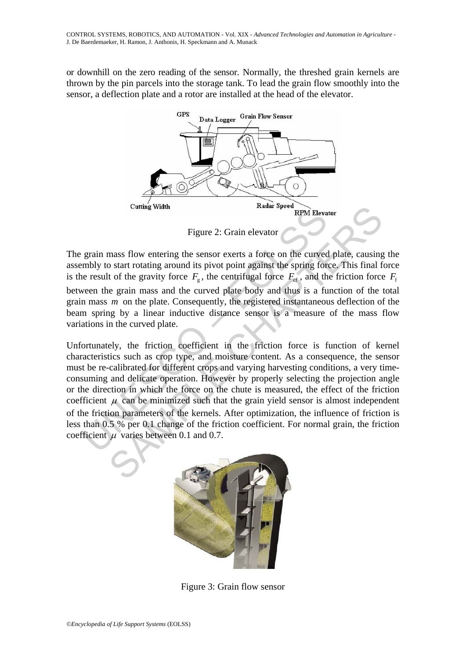or downhill on the zero reading of the sensor. Normally, the threshed grain kernels are thrown by the pin parcels into the storage tank. To lead the grain flow smoothly into the sensor, a deflection plate and a rotor are installed at the head of the elevator.



Figure 2: Grain elevator

The grain mass flow entering the sensor exerts a force on the curved plate, causing the assembly to start rotating around its pivot point against the spring force. This final force is the result of the gravity force  $F_g$ , the centrifugal force  $F_g$ , and the friction force  $F_f$ between the grain mass and the curved plate body and thus is a function of the total grain mass *m* on the plate. Consequently, the registered instantaneous deflection of the beam spring by a linear inductive distance sensor is a measure of the mass flow variations in the curved plate.

Figure 2: Grain elevator<br>
Figure 2: Grain elevator<br>
Figure 2: Grain elevator<br>
enveloptive of the gravity force  $F_g$ , the centrifugal force  $F_{\text{ct}}$ , and th<br>
ween the grain mass and the curved plate body and thus is a fu<br> Cutting Width<br>
Figure 2: Grain elevator<br>
Figure 2: Grain elevator<br>
Figure 2: Grain elevator<br>
mass flow entering the sensor exerts a force on the curved plate, causing<br>
o start rotating around its pivot point against the s Unfortunately, the friction coefficient in the friction force is function of kernel characteristics such as crop type, and moisture content. As a consequence, the sensor must be re-calibrated for different crops and varying harvesting conditions, a very timeconsuming and delicate operation. However by properly selecting the projection angle or the direction in which the force on the chute is measured, the effect of the friction coefficient  $\mu$  can be minimized such that the grain yield sensor is almost independent of the friction parameters of the kernels. After optimization, the influence of friction is less than 0.5 % per 0.1 change of the friction coefficient. For normal grain, the friction coefficient  $\mu$  varies between 0.1 and 0.7.



Figure 3: Grain flow sensor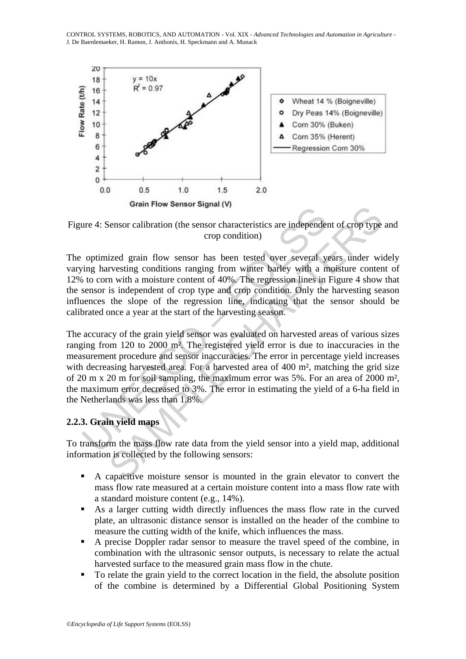CONTROL SYSTEMS, ROBOTICS, AND AUTOMATION - Vol. XIX - *Advanced Technologies and Automation in Agriculture* - J. De Baerdemaeker, H. Ramon, J. Anthonis, H. Speckmann and A. Munack



Figure 4: Sensor calibration (the sensor characteristics are independent of crop type and crop condition)

The optimized grain flow sensor has been tested over several years under widely varying harvesting conditions ranging from winter barley with a moisture content of 12% to corn with a moisture content of 40%. The regression lines in Figure 4 show that the sensor is independent of crop type and crop condition. Only the harvesting season influences the slope of the regression line, indicating that the sensor should be calibrated once a year at the start of the harvesting season.

The 4: Sensor calibration (the sensor characteristics are independentially a<br>continued and flow sensor has been tested over several your minimized grain flow sensor has been tested over several ying harvesting conditions Gram Flow Sensor signal (v)<br>
sensor calibration (the sensor characteristics are independent of crop type<br>
crop condition)<br>
ized grain flow sensor has been tested over several years under wi<br>
resting conditions ranging fro The accuracy of the grain yield sensor was evaluated on harvested areas of various sizes ranging from 120 to 2000 m². The registered yield error is due to inaccuracies in the measurement procedure and sensor inaccuracies. The error in percentage yield increases with decreasing harvested area. For a harvested area of 400 m<sup>2</sup>, matching the grid size of 20 m x 20 m for soil sampling, the maximum error was 5%. For an area of 2000 m², the maximum error decreased to 3%. The error in estimating the yield of a 6-ha field in the Netherlands was less than 1.8%.

# **2.2.3. Grain yield maps**

To transform the mass flow rate data from the yield sensor into a yield map, additional information is collected by the following sensors:

- A capacitive moisture sensor is mounted in the grain elevator to convert the mass flow rate measured at a certain moisture content into a mass flow rate with a standard moisture content (e.g., 14%).
- As a larger cutting width directly influences the mass flow rate in the curved plate, an ultrasonic distance sensor is installed on the header of the combine to measure the cutting width of the knife, which influences the mass.
- A precise Doppler radar sensor to measure the travel speed of the combine, in combination with the ultrasonic sensor outputs, is necessary to relate the actual harvested surface to the measured grain mass flow in the chute.
- To relate the grain yield to the correct location in the field, the absolute position of the combine is determined by a Differential Global Positioning System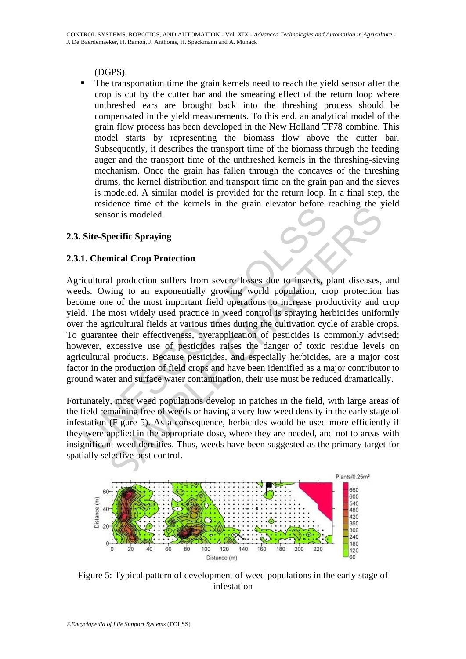(DGPS).

 The transportation time the grain kernels need to reach the yield sensor after the crop is cut by the cutter bar and the smearing effect of the return loop where unthreshed ears are brought back into the threshing process should be compensated in the yield measurements. To this end, an analytical model of the grain flow process has been developed in the New Holland TF78 combine. This model starts by representing the biomass flow above the cutter bar. Subsequently, it describes the transport time of the biomass through the feeding auger and the transport time of the unthreshed kernels in the threshing-sieving mechanism. Once the grain has fallen through the concaves of the threshing drums, the kernel distribution and transport time on the grain pan and the sieves is modeled. A similar model is provided for the return loop. In a final step, the residence time of the kernels in the grain elevator before reaching the yield sensor is modeled.

# **2.3. Site-Specific Spraying**

# **2.3.1. Chemical Crop Protection**

is ensor is modeled.<br>
Site-Specific Spraying<br>
1. Chemical Crop Protection<br>
icultural production suffers from severe losses due to insects, p<br>
ds. Owing to an exponentially growing world population, cr<br>
ome one of the most Sor is modeled.<br>
Sor is modeled.<br>
Sor is modeled.<br>
Sor is modeled.<br>
In production suffers from severe losses due to insects, plant diseases,<br>
then the mean exponentially growing world population, crop protection<br>
end of th Agricultural production suffers from severe losses due to insects, plant diseases, and weeds. Owing to an exponentially growing world population, crop protection has become one of the most important field operations to increase productivity and crop yield. The most widely used practice in weed control is spraying herbicides uniformly over the agricultural fields at various times during the cultivation cycle of arable crops. To guarantee their effectiveness, overapplication of pesticides is commonly advised; however, excessive use of pesticides raises the danger of toxic residue levels on agricultural products. Because pesticides, and especially herbicides, are a major cost factor in the production of field crops and have been identified as a major contributor to ground water and surface water contamination, their use must be reduced dramatically.

Fortunately, most weed populations develop in patches in the field, with large areas of the field remaining free of weeds or having a very low weed density in the early stage of infestation (Figure 5). As a consequence, herbicides would be used more efficiently if they were applied in the appropriate dose, where they are needed, and not to areas with insignificant weed densities. Thus, weeds have been suggested as the primary target for spatially selective pest control.



Figure 5: Typical pattern of development of weed populations in the early stage of infestation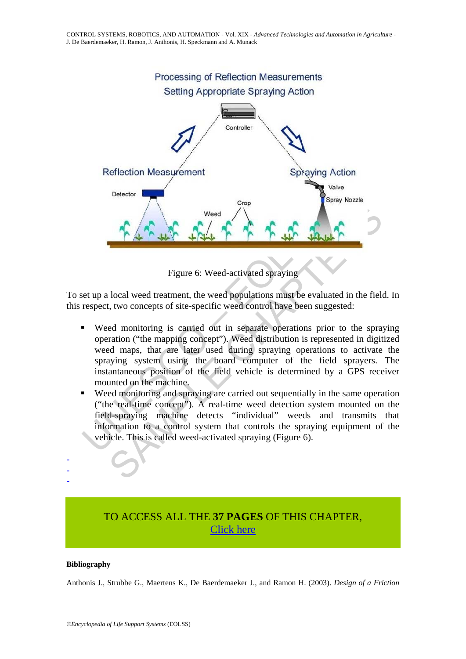

Figure 6: Weed-activated spraying

To set up a local weed treatment, the weed populations must be evaluated in the field. In this respect, two concepts of site-specific weed control have been suggested:

- Weed<br>
The Context of the Scheme of the specific weed activated spraying<br>
Figure 6: Weed-activated spraying<br>
respect, two concepts of site-specific weed control have been sug<br>
weed monitoring is carried out in separate oper weed<br>
Sample of the control of the control of the properties of the production<br>
Sample CHAPTERS (Section 1997)<br>
Sample CHAPTERS (Section 1997)<br>
Sample CHAPTERS (Section 1997)<br>
Example of mapping concept"). Weed distributio Weed monitoring is carried out in separate operations prior to the spraying operation ("the mapping concept"). Weed distribution is represented in digitized weed maps, that are later used during spraying operations to activate the spraying system using the board computer of the field sprayers. The instantaneous position of the field vehicle is determined by a GPS receiver mounted on the machine.
- Weed monitoring and spraying are carried out sequentially in the same operation ("the real-time concept"). A real-time weed detection system mounted on the field-spraying machine detects "individual" weeds and transmits that information to a control system that controls the spraying equipment of the vehicle. This is called weed-activated spraying (Figure 6).

# TO ACCESS ALL THE **37 PAGES** OF THIS CHAPTER, [Click here](https://www.eolss.net/ebooklib/sc_cart.aspx?File=E6-43-35-04)

#### **Bibliography**

- - -

Anthonis J., Strubbe G., Maertens K., De Baerdemaeker J., and Ramon H. (2003). *Design of a Friction*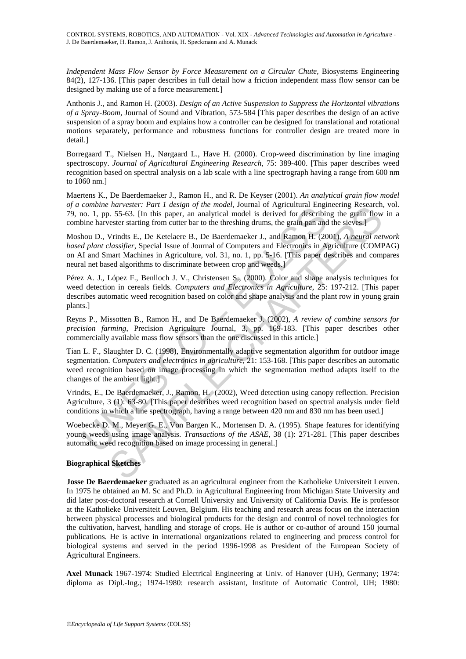*Independent Mass Flow Sensor by Force Measurement on a Circular Chute,* Biosystems Engineering 84(2), 127-136. [This paper describes in full detail how a friction independent mass flow sensor can be designed by making use of a force measurement.]

Anthonis J., and Ramon H. (2003). *Design of an Active Suspension to Suppress the Horizontal vibrations of a Spray-Boom,* Journal of Sound and Vibration, 573-584 [This paper describes the design of an active suspension of a spray boom and explains how a controller can be designed for translational and rotational motions separately, performance and robustness functions for controller design are treated more in detail.]

Borregaard T., Nielsen H., Nørgaard L., Have H. (2000). Crop-weed discrimination by line imaging spectroscopy. *Journal of Agricultural Engineering Research*, 75: 389-400. [This paper describes weed recognition based on spectral analysis on a lab scale with a line spectrograph having a range from 600 nm to 1060 nm.]

Maertens K., De Baerdemaeker J., Ramon H., and R. De Keyser (2001). *An analytical grain flow model of a combine harvester: Part 1 design of the model*, Journal of Agricultural Engineering Research, vol. 79, no. 1, pp. 55-63. [In this paper, an analytical model is derived for describing the grain flow in a combine harvester starting from cutter bar to the threshing drums, the grain pan and the sieves.]

Moshou D., Vrindts E., De Ketelaere B., De Baerdemaeker J., and Ramon H. (2001), *A neural network based plant classifier*, Special Issue of Journal of Computers and Electronics in Agriculture (COMPAG) on AI and Smart Machines in Agriculture, vol. 31, no. 1, pp. 5-16. [This paper describes and compares neural net based algorithms to discriminate between crop and weeds.]

common narrester. *T* and *Y* are noted, not all and *N* action of  $\Delta$  and *N* and *N* and *N* and *N* and *N* and *N* and *N* and *N* and *N* and *N* and *N* and *N* and *N* and *N* and *N* and *N* and *N* and *N* and rativeler: rarri taestgat of the model, bound of neglicultural Englistering tesseatch.<br>
1.5.5-63. [In this paper, an analytical model is derived for describing the grain flow<br>
cester starting from cutter bar to the thresh Pérez A. J., López F., Benlloch J. V., Christensen S., (2000). Color and shape analysis techniques for weed detection in cereals fields. *Computers and Electronics in Agriculture*, 25: 197-212. [This paper describes automatic weed recognition based on color and shape analysis and the plant row in young grain plants.]

Reyns P., Missotten B., Ramon H., and De Baerdemaeker J. (2002), *A review of combine sensors for precision farming*, Precision Agriculture Journal, 3, pp. 169-183. [This paper describes other commercially available mass flow sensors than the one discussed in this article.]

Tian L. F., Slaughter D. C. (1998), Environmentally adaptive segmentation algorithm for outdoor image segmentation. *Computers and electronics in agriculture*, 21: 153-168. [This paper describes an automatic weed recognition based on image processing in which the segmentation method adapts itself to the changes of the ambient light.]

Vrindts, E., De Baerdemaeker, J., Ramon, H. (2002), Weed detection using canopy reflection. Precision Agriculture, 3 (1): 63-80. [This paper describes weed recognition based on spectral analysis under field conditions in which a line spectrograph, having a range between 420 nm and 830 nm has been used.]

Woebecke D. M., Meyer G. E., Von Bargen K., Mortensen D. A. (1995). Shape features for identifying young weeds using image analysis. *Transactions of the ASAE*, 38 (1): 271-281. [This paper describes automatic weed recognition based on image processing in general.]

## **Biographical Sketches**

**Josse De Baerdemaeker** graduated as an agricultural engineer from the Katholieke Universiteit Leuven. In 1975 he obtained an M. Sc and Ph.D. in Agricultural Engineering from Michigan State University and did later post-doctoral research at Cornell University and University of California Davis. He is professor at the Katholieke Universiteit Leuven, Belgium. His teaching and research areas focus on the interaction between physical processes and biological products for the design and control of novel technologies for the cultivation, harvest, handling and storage of crops. He is author or co-author of around 150 journal publications. He is active in international organizations related to engineering and process control for biological systems and served in the period 1996-1998 as President of the European Society of Agricultural Engineers.

**Axel Munack** 1967-1974: Studied Electrical Engineering at Univ. of Hanover (UH), Germany; 1974: diploma as Dipl.-Ing.; 1974-1980: research assistant, Institute of Automatic Control, UH; 1980: